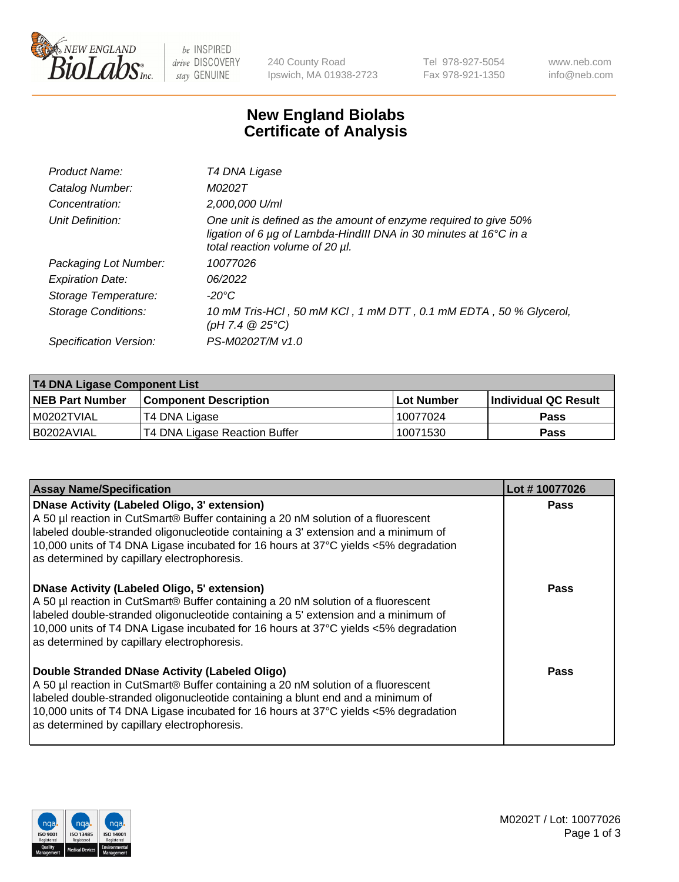

be INSPIRED drive DISCOVERY stay GENUINE

240 County Road Ipswich, MA 01938-2723 Tel 978-927-5054 Fax 978-921-1350 www.neb.com info@neb.com

## **New England Biolabs Certificate of Analysis**

| Product Name:              | T4 DNA Ligase                                                                                                                                                                           |
|----------------------------|-----------------------------------------------------------------------------------------------------------------------------------------------------------------------------------------|
| Catalog Number:            | M0202T                                                                                                                                                                                  |
| Concentration:             | 2,000,000 U/ml                                                                                                                                                                          |
| Unit Definition:           | One unit is defined as the amount of enzyme required to give 50%<br>ligation of 6 $\mu$ g of Lambda-HindIII DNA in 30 minutes at 16 $\degree$ C in a<br>total reaction volume of 20 µl. |
| Packaging Lot Number:      | 10077026                                                                                                                                                                                |
| <b>Expiration Date:</b>    | 06/2022                                                                                                                                                                                 |
| Storage Temperature:       | $-20^{\circ}$ C                                                                                                                                                                         |
| <b>Storage Conditions:</b> | 10 mM Tris-HCl, 50 mM KCl, 1 mM DTT, 0.1 mM EDTA, 50 % Glycerol,<br>(pH 7.4 $@25°C$ )                                                                                                   |
| Specification Version:     | PS-M0202T/M v1.0                                                                                                                                                                        |
|                            |                                                                                                                                                                                         |

| <b>T4 DNA Ligase Component List</b> |                               |            |                      |  |
|-------------------------------------|-------------------------------|------------|----------------------|--|
| <b>NEB Part Number</b>              | <b>Component Description</b>  | Lot Number | Individual QC Result |  |
| I M0202TVIAL                        | T4 DNA Ligase                 | 10077024   | <b>Pass</b>          |  |
| I B0202AVIAL                        | T4 DNA Ligase Reaction Buffer | 10071530   | <b>Pass</b>          |  |

| <b>Assay Name/Specification</b>                                                                                                                                                                                                                                                                                                                               | Lot #10077026 |
|---------------------------------------------------------------------------------------------------------------------------------------------------------------------------------------------------------------------------------------------------------------------------------------------------------------------------------------------------------------|---------------|
| DNase Activity (Labeled Oligo, 3' extension)<br>A 50 µl reaction in CutSmart® Buffer containing a 20 nM solution of a fluorescent<br>labeled double-stranded oligonucleotide containing a 3' extension and a minimum of<br>10,000 units of T4 DNA Ligase incubated for 16 hours at 37°C yields <5% degradation<br>as determined by capillary electrophoresis. | <b>Pass</b>   |
| DNase Activity (Labeled Oligo, 5' extension)<br>A 50 µl reaction in CutSmart® Buffer containing a 20 nM solution of a fluorescent<br>labeled double-stranded oligonucleotide containing a 5' extension and a minimum of<br>10,000 units of T4 DNA Ligase incubated for 16 hours at 37°C yields <5% degradation<br>as determined by capillary electrophoresis. | Pass          |
| Double Stranded DNase Activity (Labeled Oligo)<br>A 50 µl reaction in CutSmart® Buffer containing a 20 nM solution of a fluorescent<br>abeled double-stranded oligonucleotide containing a blunt end and a minimum of<br>10,000 units of T4 DNA Ligase incubated for 16 hours at 37°C yields <5% degradation<br>as determined by capillary electrophoresis.   | Pass          |

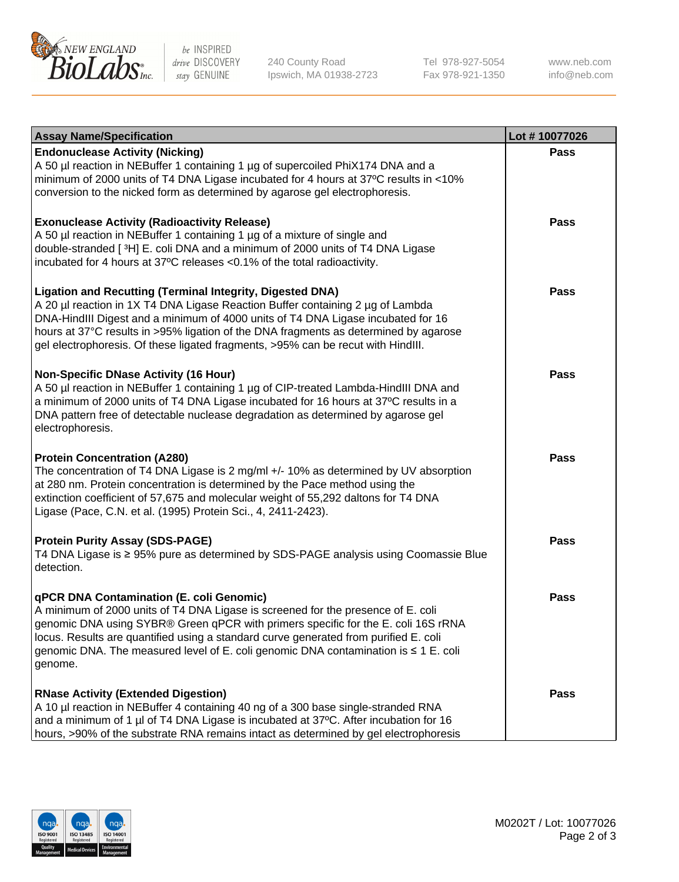

be INSPIRED drive DISCOVERY stay GENUINE

240 County Road Ipswich, MA 01938-2723 Tel 978-927-5054 Fax 978-921-1350

www.neb.com info@neb.com

| <b>Assay Name/Specification</b>                                                                                                                                                                                                                                                                                                                                                                                    | Lot #10077026 |
|--------------------------------------------------------------------------------------------------------------------------------------------------------------------------------------------------------------------------------------------------------------------------------------------------------------------------------------------------------------------------------------------------------------------|---------------|
| <b>Endonuclease Activity (Nicking)</b><br>A 50 µl reaction in NEBuffer 1 containing 1 µg of supercoiled PhiX174 DNA and a<br>minimum of 2000 units of T4 DNA Ligase incubated for 4 hours at 37°C results in <10%<br>conversion to the nicked form as determined by agarose gel electrophoresis.                                                                                                                   | <b>Pass</b>   |
| <b>Exonuclease Activity (Radioactivity Release)</b><br>A 50 µl reaction in NEBuffer 1 containing 1 µg of a mixture of single and<br>double-stranded [3H] E. coli DNA and a minimum of 2000 units of T4 DNA Ligase<br>incubated for 4 hours at 37°C releases <0.1% of the total radioactivity.                                                                                                                      | <b>Pass</b>   |
| <b>Ligation and Recutting (Terminal Integrity, Digested DNA)</b><br>A 20 µl reaction in 1X T4 DNA Ligase Reaction Buffer containing 2 µg of Lambda<br>DNA-HindIII Digest and a minimum of 4000 units of T4 DNA Ligase incubated for 16<br>hours at 37°C results in >95% ligation of the DNA fragments as determined by agarose<br>gel electrophoresis. Of these ligated fragments, >95% can be recut with HindIII. | <b>Pass</b>   |
| <b>Non-Specific DNase Activity (16 Hour)</b><br>A 50 µl reaction in NEBuffer 1 containing 1 µg of CIP-treated Lambda-HindIII DNA and<br>a minimum of 2000 units of T4 DNA Ligase incubated for 16 hours at 37°C results in a<br>DNA pattern free of detectable nuclease degradation as determined by agarose gel<br>electrophoresis.                                                                               | <b>Pass</b>   |
| <b>Protein Concentration (A280)</b><br>The concentration of T4 DNA Ligase is 2 mg/ml +/- 10% as determined by UV absorption<br>at 280 nm. Protein concentration is determined by the Pace method using the<br>extinction coefficient of 57,675 and molecular weight of 55,292 daltons for T4 DNA<br>Ligase (Pace, C.N. et al. (1995) Protein Sci., 4, 2411-2423).                                                  | <b>Pass</b>   |
| <b>Protein Purity Assay (SDS-PAGE)</b><br>T4 DNA Ligase is ≥ 95% pure as determined by SDS-PAGE analysis using Coomassie Blue<br>detection.                                                                                                                                                                                                                                                                        | <b>Pass</b>   |
| qPCR DNA Contamination (E. coli Genomic)<br>A minimum of 2000 units of T4 DNA Ligase is screened for the presence of E. coli<br>genomic DNA using SYBR® Green qPCR with primers specific for the E. coli 16S rRNA<br>locus. Results are quantified using a standard curve generated from purified E. coli<br>genomic DNA. The measured level of E. coli genomic DNA contamination is ≤ 1 E. coli<br>genome.        | Pass          |
| <b>RNase Activity (Extended Digestion)</b><br>A 10 µl reaction in NEBuffer 4 containing 40 ng of a 300 base single-stranded RNA<br>and a minimum of 1 µl of T4 DNA Ligase is incubated at 37°C. After incubation for 16<br>hours, >90% of the substrate RNA remains intact as determined by gel electrophoresis                                                                                                    | <b>Pass</b>   |